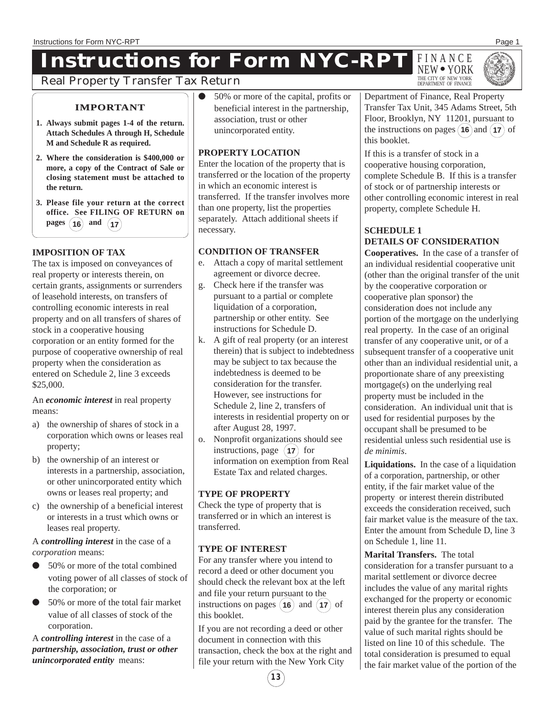# **Instructions for Form NYC-RPT** FINANCE





# Real Property Transfer Tax Return

# **IMPORTANT**

- **1. Always submit pages 1-4 of the return. Attach Schedules A through H, Schedule M and Schedule R as required.**
- **2. Where the consideration is \$400,000 or more, a copy of the Contract of Sale or closing statement must be attached to the return.**
- **3. Please file your return at the correct office. See FILING OF RETURN on**  $\mu$  pages  $(16)$  and  $(17)$

# **IMPOSITION OF TAX**

The tax is imposed on conveyances of real property or interests therein, on certain grants, assignments or surrenders of leasehold interests, on transfers of controlling economic interests in real property and on all transfers of shares of stock in a cooperative housing corporation or an entity formed for the purpose of cooperative ownership of real property when the consideration as entered on Schedule 2, line 3 exceeds \$25,000.

An *economic interest* in real property means:

- a) the ownership of shares of stock in a corporation which owns or leases real property;
- b) the ownership of an interest or interests in a partnership, association, or other unincorporated entity which owns or leases real property; and
- c) the ownership of a beneficial interest or interests in a trust which owns or leases real property.

A *controlling interest* in the case of a *corporation* means:

- 50% or more of the total combined voting power of all classes of stock of the corporation; or
- 50% or more of the total fair market value of all classes of stock of the corporation.

A *controlling interest* in the case of a *partnership, association, trust or other unincorporated entity* means:

50% or more of the capital, profits or beneficial interest in the partnership, association, trust or other unincorporated entity.

# **PROPERTY LOCATION**

Enter the location of the property that is transferred or the location of the property in which an economic interest is transferred. If the transfer involves more than one property, list the properties separately. Attach additional sheets if necessary.

# **CONDITION OF TRANSFER**

- e. Attach a copy of marital settlement agreement or divorce decree.
- g. Check here if the transfer was pursuant to a partial or complete liquidation of a corporation, partnership or other entity. See instructions for Schedule D.
- k. A gift of real property (or an interest therein) that is subject to indebtedness may be subject to tax because the indebtedness is deemed to be consideration for the transfer. However, see instructions for Schedule 2, line 2, transfers of interests in residential property on or after August 28, 1997.
- o. Nonprofit organizations should see instructions, page  $(17)$  for information on exemption from Real Estate Tax and related charges.

# **TYPE OF PROPERTY**

Check the type of property that is transferred or in which an interest is transferred.

# **TYPE OF INTEREST**

For any transfer where you intend to record a deed or other document you should check the relevant box at the left and file your return pursuant to the instructions on pages  $(16)$  and  $(17)$  of this booklet.

If you are not recording a deed or other document in connection with this transaction, check the box at the right and file your return with the New York City

Department of Finance, Real Property Transfer Tax Unit, 345 Adams Street, 5th Floor, Brooklyn, NY 11201, pursuant to the instructions on pages  $(16)$  and  $(17)$  of this booklet.

If this is a transfer of stock in a cooperative housing corporation, complete Schedule B. If this is a transfer of stock or of partnership interests or other controlling economic interest in real property, complete Schedule H.

# **SCHEDULE 1 DETAILS OF CONSIDERATION**

**Cooperatives.** In the case of a transfer of an individual residential cooperative unit (other than the original transfer of the unit by the cooperative corporation or cooperative plan sponsor) the consideration does not include any portion of the mortgage on the underlying real property. In the case of an original transfer of any cooperative unit, or of a subsequent transfer of a cooperative unit other than an individual residential unit, a proportionate share of any preexisting mortgage(s) on the underlying real property must be included in the consideration. An individual unit that is used for residential purposes by the occupant shall be presumed to be residential unless such residential use is *de minimis*.

**Liquidations.** In the case of a liquidation of a corporation, partnership, or other entity, if the fair market value of the property or interest therein distributed exceeds the consideration received, such fair market value is the measure of the tax. Enter the amount from Schedule D, line 3 on Schedule 1, line 11.

**Marital Transfers.** The total consideration for a transfer pursuant to a marital settlement or divorce decree includes the value of any marital rights exchanged for the property or economic interest therein plus any consideration paid by the grantee for the transfer. The value of such marital rights should be listed on line 10 of this schedule. The total consideration is presumed to equal the fair market value of the portion of the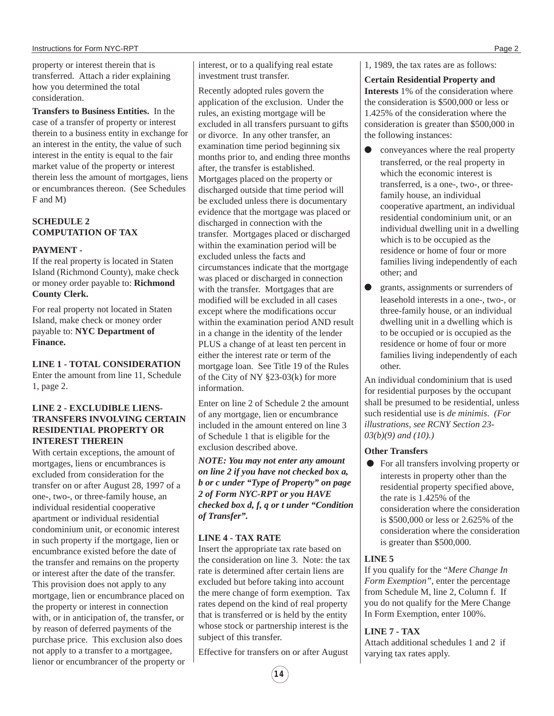property or interest therein that is transferred. Attach a rider explaining how you determined the total consideration.

**Transfers to Business Entities.** In the case of a transfer of property or interest therein to a business entity in exchange for an interest in the entity, the value of such interest in the entity is equal to the fair market value of the property or interest therein less the amount of mortgages, liens or encumbrances thereon. (See Schedules F and M)

#### **SCHEDULE 2 COMPUTATION OF TAX**

#### **PAYMENT -**

If the real property is located in Staten Island (Richmond County), make check or money order payable to: **Richmond County Clerk.**

For real property not located in Staten Island, make check or money order payable to: **NYC Department of Finance.**

**LINE 1 - TOTAL CONSIDERATION** Enter the amount from line 11, Schedule 1, page 2.

#### **LINE 2 - EXCLUDIBLE LIENS-TRANSFERS INVOLVING CERTAIN RESIDENTIAL PROPERTY OR INTEREST THEREIN**

With certain exceptions, the amount of mortgages, liens or encumbrances is excluded from consideration for the transfer on or after August 28, 1997 of a one-, two-, or three-family house, an individual residential cooperative apartment or individual residential condominium unit, or economic interest in such property if the mortgage, lien or encumbrance existed before the date of the transfer and remains on the property or interest after the date of the transfer. This provision does not apply to any mortgage, lien or encumbrance placed on the property or interest in connection with, or in anticipation of, the transfer, or by reason of deferred payments of the purchase price. This exclusion also does not apply to a transfer to a mortgagee, lienor or encumbrancer of the property or interest, or to a qualifying real estate investment trust transfer.

Recently adopted rules govern the application of the exclusion. Under the rules, an existing mortgage will be excluded in all transfers pursuant to gifts or divorce. In any other transfer, an examination time period beginning six months prior to, and ending three months after, the transfer is established. Mortgages placed on the property or discharged outside that time period will be excluded unless there is documentary evidence that the mortgage was placed or discharged in connection with the transfer. Mortgages placed or discharged within the examination period will be excluded unless the facts and circumstances indicate that the mortgage was placed or discharged in connection with the transfer. Mortgages that are modified will be excluded in all cases except where the modifications occur within the examination period AND result in a change in the identity of the lender PLUS a change of at least ten percent in either the interest rate or term of the mortgage loan. See Title 19 of the Rules of the City of NY §23-03(k) for more information.

Enter on line 2 of Schedule 2 the amount of any mortgage, lien or encumbrance included in the amount entered on line 3 of Schedule 1 that is eligible for the exclusion described above.

*NOTE: You may not enter any amount on line 2 if you have not checked box a, b or c under "Type of Property" on page 2 of Form NYC-RPT or you HAVE checked box d, f, q or t under "Condition of Transfer".*

#### **LINE 4 - TAX RATE**

Insert the appropriate tax rate based on the consideration on line 3. Note: the tax rate is determined after certain liens are excluded but before taking into account the mere change of form exemption. Tax rates depend on the kind of real property that is transferred or is held by the entity whose stock or partnership interest is the subject of this transfer.

Effective for transfers on or after August

1, 1989, the tax rates are as follows:

**Certain Residential Property and Interests** 1% of the consideration where the consideration is \$500,000 or less or 1.425% of the consideration where the consideration is greater than \$500,000 in the following instances:

- conveyances where the real property transferred, or the real property in which the economic interest is transferred, is a one-, two-, or threefamily house, an individual cooperative apartment, an individual residential condominium unit, or an individual dwelling unit in a dwelling which is to be occupied as the residence or home of four or more families living independently of each other; and
- grants, assignments or surrenders of leasehold interests in a one-, two-, or three-family house, or an individual dwelling unit in a dwelling which is to be occupied or is occupied as the residence or home of four or more families living independently of each other.

An individual condominium that is used for residential purposes by the occupant shall be presumed to be residential, unless such residential use is *de minimis*. *(For illustrations, see RCNY Section 23- 03(b)(9) and (10).)*

#### **Other Transfers**

● For all transfers involving property or interests in property other than the residential property specified above, the rate is 1.425% of the consideration where the consideration is \$500,000 or less or 2.625% of the consideration where the consideration is greater than \$500,000.

# **LINE 5**

If you qualify for the "*Mere Change In Form Exemption"*, enter the percentage from Schedule M, line 2, Column f. If you do not qualify for the Mere Change In Form Exemption, enter 100%.

# **LINE 7 - TAX**

Attach additional schedules 1 and 2 if varying tax rates apply.

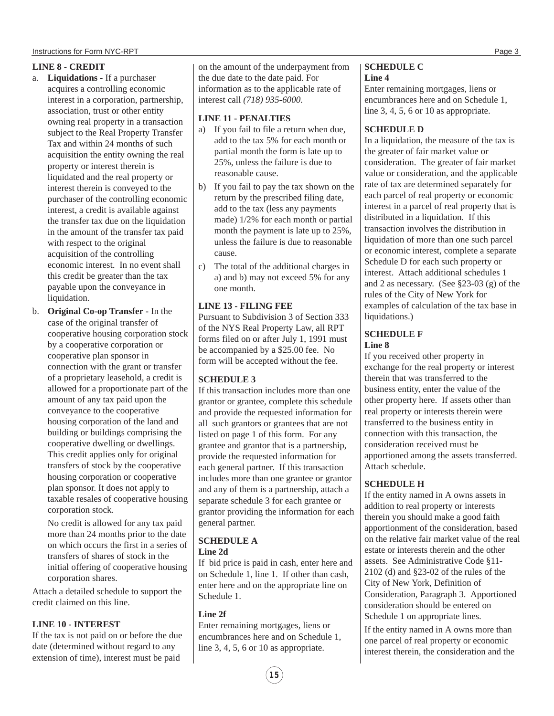#### **LINE 8 - CREDIT**

- a. **Liquidations** If a purchaser acquires a controlling economic interest in a corporation, partnership, association, trust or other entity owning real property in a transaction subject to the Real Property Transfer Tax and within 24 months of such acquisition the entity owning the real property or interest therein is liquidated and the real property or interest therein is conveyed to the purchaser of the controlling economic interest, a credit is available against the transfer tax due on the liquidation in the amount of the transfer tax paid with respect to the original acquisition of the controlling economic interest. In no event shall this credit be greater than the tax payable upon the conveyance in liquidation.
- b. **Original Co-op Transfer** In the case of the original transfer of cooperative housing corporation stock by a cooperative corporation or cooperative plan sponsor in connection with the grant or transfer of a proprietary leasehold, a credit is allowed for a proportionate part of the amount of any tax paid upon the conveyance to the cooperative housing corporation of the land and building or buildings comprising the cooperative dwelling or dwellings. This credit applies only for original transfers of stock by the cooperative housing corporation or cooperative plan sponsor. It does not apply to taxable resales of cooperative housing corporation stock.

No credit is allowed for any tax paid more than 24 months prior to the date on which occurs the first in a series of transfers of shares of stock in the initial offering of cooperative housing corporation shares.

Attach a detailed schedule to support the credit claimed on this line.

#### **LINE 10 - INTEREST**

If the tax is not paid on or before the due date (determined without regard to any extension of time), interest must be paid

on the amount of the underpayment from the due date to the date paid. For information as to the applicable rate of interest call *(718) 935-6000.*

#### **LINE 11 - PENALTIES**

- a) If you fail to file a return when due, add to the tax 5% for each month or partial month the form is late up to 25%, unless the failure is due to reasonable cause.
- b) If you fail to pay the tax shown on the return by the prescribed filing date, add to the tax (less any payments made) 1/2% for each month or partial month the payment is late up to 25%, unless the failure is due to reasonable cause.
- c) The total of the additional charges in a) and b) may not exceed 5% for any one month.

#### **LINE 13 - FILING FEE**

Pursuant to Subdivision 3 of Section 333 of the NYS Real Property Law, all RPT forms filed on or after July 1, 1991 must be accompanied by a \$25.00 fee. No form will be accepted without the fee.

# **SCHEDULE 3**

If this transaction includes more than one grantor or grantee, complete this schedule and provide the requested information for all such grantors or grantees that are not listed on page 1 of this form. For any grantee and grantor that is a partnership, provide the requested information for each general partner. If this transaction includes more than one grantee or grantor and any of them is a partnership, attach a separate schedule 3 for each grantee or grantor providing the information for each general partner.

#### **SCHEDULE A Line 2d**

If bid price is paid in cash, enter here and on Schedule 1, line 1. If other than cash, enter here and on the appropriate line on Schedule 1.

#### **Line 2f**

Enter remaining mortgages, liens or encumbrances here and on Schedule 1, line 3, 4, 5, 6 or 10 as appropriate.

#### **SCHEDULE C Line 4**

Enter remaining mortgages, liens or encumbrances here and on Schedule 1, line 3, 4, 5, 6 or 10 as appropriate.

# **SCHEDULE D**

In a liquidation, the measure of the tax is the greater of fair market value or consideration. The greater of fair market value or consideration, and the applicable rate of tax are determined separately for each parcel of real property or economic interest in a parcel of real property that is distributed in a liquidation. If this transaction involves the distribution in liquidation of more than one such parcel or economic interest, complete a separate Schedule D for each such property or interest. Attach additional schedules 1 and 2 as necessary. (See §23-03 (g) of the rules of the City of New York for examples of calculation of the tax base in liquidations.)

# **SCHEDULE F Line 8**

If you received other property in exchange for the real property or interest therein that was transferred to the business entity, enter the value of the other property here. If assets other than real property or interests therein were transferred to the business entity in connection with this transaction, the consideration received must be apportioned among the assets transferred. Attach schedule.

# **SCHEDULE H**

If the entity named in A owns assets in addition to real property or interests therein you should make a good faith apportionment of the consideration, based on the relative fair market value of the real estate or interests therein and the other assets. See Administrative Code §11- 2102 (d) and §23-02 of the rules of the City of New York, Definition of Consideration, Paragraph 3. Apportioned consideration should be entered on Schedule 1 on appropriate lines.

If the entity named in A owns more than one parcel of real property or economic interest therein, the consideration and the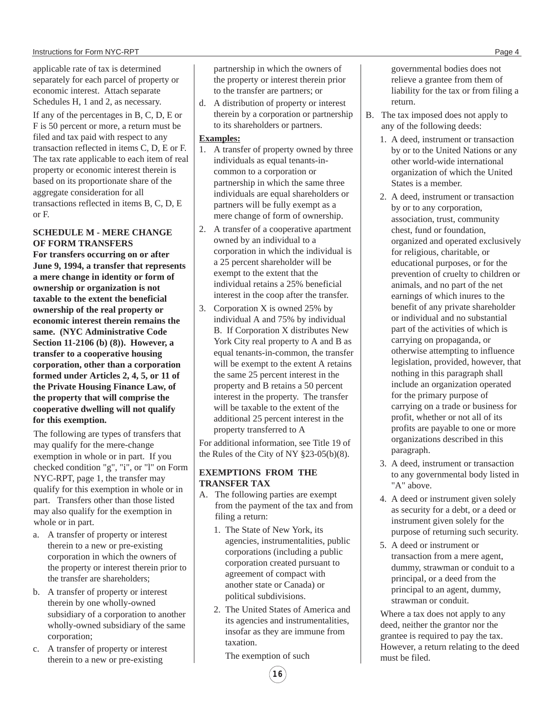applicable rate of tax is determined separately for each parcel of property or economic interest. Attach separate Schedules H, 1 and 2, as necessary. If any of the percentages in B, C, D, E or F is 50 percent or more, a return must be filed and tax paid with respect to any transaction reflected in items C, D, E or F. The tax rate applicable to each item of real property or economic interest therein is based on its proportionate share of the aggregate consideration for all transactions reflected in items B, C, D, E or F.

#### **SCHEDULE M - MERE CHANGE OF FORM TRANSFERS**

**For transfers occurring on or after June 9, 1994, a transfer that represents a mere change in identity or form of ownership or organization is not taxable to the extent the beneficial ownership of the real property or economic interest therein remains the same. (NYC Administrative Code Section 11-2106 (b) (8)). However, a transfer to a cooperative housing corporation, other than a corporation formed under Articles 2, 4, 5, or 11 of the Private Housing Finance Law, of the property that will comprise the cooperative dwelling will not qualify for this exemption.**

The following are types of transfers that may qualify for the mere-change exemption in whole or in part. If you checked condition "g", "i", or "l" on Form NYC-RPT, page 1, the transfer may qualify for this exemption in whole or in part. Transfers other than those listed may also qualify for the exemption in whole or in part.

- a. A transfer of property or interest therein to a new or pre-existing corporation in which the owners of the property or interest therein prior to the transfer are shareholders;
- b. A transfer of property or interest therein by one wholly-owned subsidiary of a corporation to another wholly-owned subsidiary of the same corporation;
- c. A transfer of property or interest therein to a new or pre-existing

partnership in which the owners of the property or interest therein prior to the transfer are partners; or

d. A distribution of property or interest therein by a corporation or partnership to its shareholders or partners.

#### **Examples:**

- 1. A transfer of property owned by three individuals as equal tenants-incommon to a corporation or partnership in which the same three individuals are equal shareholders or partners will be fully exempt as a mere change of form of ownership.
- 2. A transfer of a cooperative apartment owned by an individual to a corporation in which the individual is a 25 percent shareholder will be exempt to the extent that the individual retains a 25% beneficial interest in the coop after the transfer.
- 3. Corporation X is owned 25% by individual A and 75% by individual B. If Corporation X distributes New York City real property to A and B as equal tenants-in-common, the transfer will be exempt to the extent A retains the same 25 percent interest in the property and B retains a 50 percent interest in the property. The transfer will be taxable to the extent of the additional 25 percent interest in the property transferred to A

For additional information, see Title 19 of the Rules of the City of NY §23-05(b)(8).

# **EXEMPTIONS FROM THE TRANSFER TAX**

- A. The following parties are exempt from the payment of the tax and from filing a return:
	- 1. The State of New York, its agencies, instrumentalities, public corporations (including a public corporation created pursuant to agreement of compact with another state or Canada) or political subdivisions.
	- 2. The United States of America and its agencies and instrumentalities, insofar as they are immune from taxation.

The exemption of such

**16**

governmental bodies does not relieve a grantee from them of liability for the tax or from filing a return.

- B. The tax imposed does not apply to any of the following deeds:
	- 1. A deed, instrument or transaction by or to the United Nations or any other world-wide international organization of which the United States is a member.
	- 2. A deed, instrument or transaction by or to any corporation, association, trust, community chest, fund or foundation, organized and operated exclusively for religious, charitable, or educational purposes, or for the prevention of cruelty to children or animals, and no part of the net earnings of which inures to the benefit of any private shareholder or individual and no substantial part of the activities of which is carrying on propaganda, or otherwise attempting to influence legislation, provided, however, that nothing in this paragraph shall include an organization operated for the primary purpose of carrying on a trade or business for profit, whether or not all of its profits are payable to one or more organizations described in this paragraph.
	- 3. A deed, instrument or transaction to any governmental body listed in "A" above.
	- 4. A deed or instrument given solely as security for a debt, or a deed or instrument given solely for the purpose of returning such security.
	- 5. A deed or instrument or transaction from a mere agent, dummy, strawman or conduit to a principal, or a deed from the principal to an agent, dummy, strawman or conduit.

Where a tax does not apply to any deed, neither the grantor nor the grantee is required to pay the tax. However, a return relating to the deed must be filed.